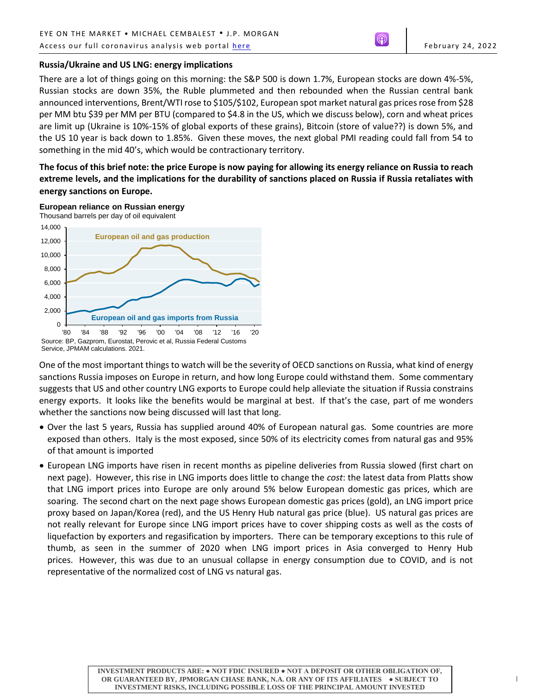# **Russia/Ukraine and US LNG: energy implications**

There are a lot of things going on this morning: the S&P 500 is down 1.7%, European stocks are down 4%-5%, Russian stocks are down 35%, the Ruble plummeted and then rebounded when the Russian central bank announced interventions, Brent/WTI rose to \$105/\$102, European spot market natural gas prices rose from \$28 per MM btu \$39 per MM per BTU (compared to \$4.8 in the US, which we discuss below), corn and wheat prices are limit up (Ukraine is 10%-15% of global exports of these grains), Bitcoin (store of value??) is down 5%, and the US 10 year is back down to 1.85%. Given these moves, the next global PMI reading could fall from 54 to something in the mid 40's, which would be contractionary territory.

**The focus of this brief note: the price Europe is now paying for allowing its energy reliance on Russia to reach extreme levels, and the implications for the durability of sanctions placed on Russia if Russia retaliates with energy sanctions on Europe.**

**European reliance on Russian energy**



One of the most important things to watch will be the severity of OECD sanctions on Russia, what kind of energy sanctions Russia imposes on Europe in return, and how long Europe could withstand them. Some commentary suggests that US and other country LNG exports to Europe could help alleviate the situation if Russia constrains energy exports. It looks like the benefits would be marginal at best. If that's the case, part of me wonders whether the sanctions now being discussed will last that long.

- Over the last 5 years, Russia has supplied around 40% of European natural gas. Some countries are more exposed than others. Italy is the most exposed, since 50% of its electricity comes from natural gas and 95% of that amount is imported
- European LNG imports have risen in recent months as pipeline deliveries from Russia slowed (first chart on next page). However, this rise in LNG imports does little to change the *cost*: the latest data from Platts show that LNG import prices into Europe are only around 5% below European domestic gas prices, which are soaring. The second chart on the next page shows European domestic gas prices (gold), an LNG import price proxy based on Japan/Korea (red), and the US Henry Hub natural gas price (blue). US natural gas prices are not really relevant for Europe since LNG import prices have to cover shipping costs as well as the costs of liquefaction by exporters and regasification by importers. There can be temporary exceptions to this rule of thumb, as seen in the summer of 2020 when LNG import prices in Asia converged to Henry Hub prices. However, this was due to an unusual collapse in energy consumption due to COVID, and is not representative of the normalized cost of LNG vs natural gas.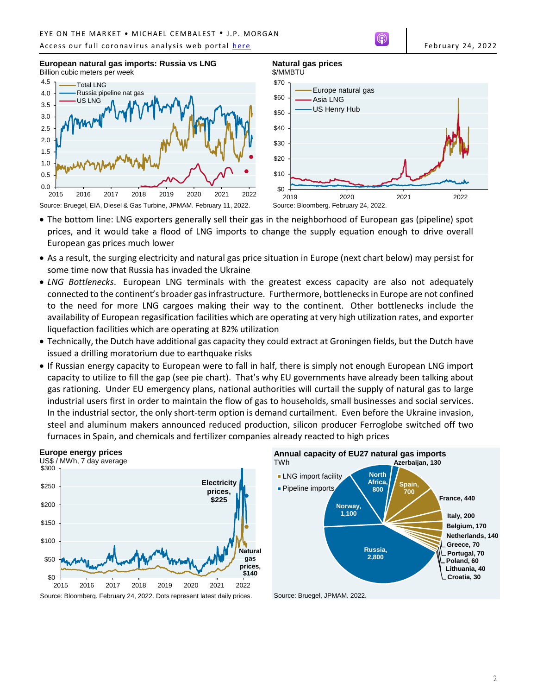### Access our full coronavirus analysis web portal [here](https://www.jpmorgan.com/coronavirusupdates) February 24, 2022







**Natural gas prices**

\$/MMBTU

- The bottom line: LNG exporters generally sell their gas in the neighborhood of European gas (pipeline) spot prices, and it would take a flood of LNG imports to change the supply equation enough to drive overall European gas prices much lower
- As a result, the surging electricity and natural gas price situation in Europe (next chart below) may persist for some time now that Russia has invaded the Ukraine
- *LNG Bottlenecks*. European LNG terminals with the greatest excess capacity are also not adequately connected to the continent's broader gas infrastructure. Furthermore, bottlenecks in Europe are not confined to the need for more LNG cargoes making their way to the continent. Other bottlenecks include the availability of European regasification facilities which are operating at very high utilization rates, and exporter liquefaction facilities which are operating at 82% utilization
- Technically, the Dutch have additional gas capacity they could extract at Groningen fields, but the Dutch have issued a drilling moratorium due to earthquake risks
- If Russian energy capacity to European were to fall in half, there is simply not enough European LNG import capacity to utilize to fill the gap (see pie chart). That's why EU governments have already been talking about gas rationing. Under EU emergency plans, national authorities will curtail the supply of natural gas to large industrial users first in order to maintain the flow of gas to households, small businesses and social services. In the industrial sector, the only short-term option is demand curtailment. Even before the Ukraine invasion, steel and aluminum makers announced reduced production, silicon producer Ferroglobe switched off two furnaces in Spain, and chemicals and fertilizer companies already reacted to high prices





Source: Bruegel, JPMAM. 2022.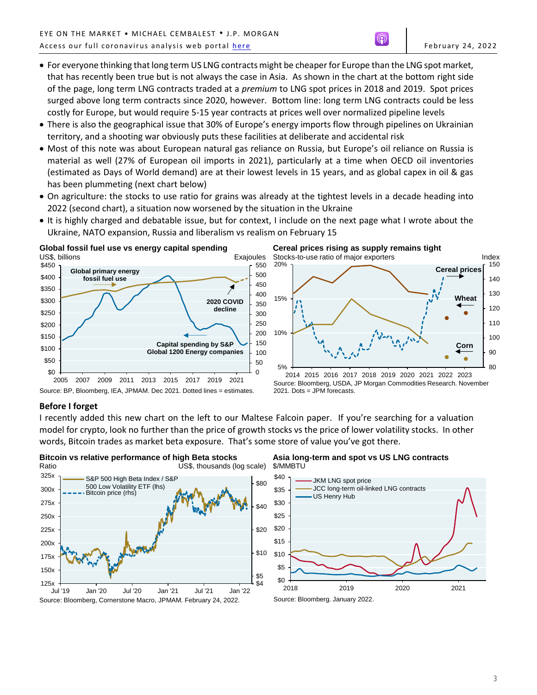- For everyone thinking that long term US LNG contracts might be cheaper for Europe than the LNG spot market, that has recently been true but is not always the case in Asia. As shown in the chart at the bottom right side of the page, long term LNG contracts traded at a *premium* to LNG spot prices in 2018 and 2019. Spot prices surged above long term contracts since 2020, however. Bottom line: long term LNG contracts could be less costly for Europe, but would require 5-15 year contracts at prices well over normalized pipeline levels
- There is also the geographical issue that 30% of Europe's energy imports flow through pipelines on Ukrainian territory, and a shooting war obviously puts these facilities at deliberate and accidental risk
- Most of this note was about European natural gas reliance on Russia, but Europe's oil reliance on Russia is material as well (27% of European oil imports in 2021), particularly at a time when OECD oil inventories (estimated as Days of World demand) are at their lowest levels in 15 years, and as global capex in oil & gas has been plummeting (next chart below)
- On agriculture: the stocks to use ratio for grains was already at the tightest levels in a decade heading into 2022 (second chart), a situation now worsened by the situation in the Ukraine
- It is highly charged and debatable issue, but for context, I include on the next page what I wrote about the Ukraine, NATO expansion, Russia and liberalism vs realism on February 15



Source: BP, Bloomberg, IEA, JPMAM. Dec 2021. Dotted lines = estimates.





Source: Bloomberg, USDA, JP Morgan Commodities Research. November 2021. Dots = JPM forecasts.

# **Before I forget**

I recently added this new chart on the left to our Maltese Falcoin paper. If you're searching for a valuation model for crypto, look no further than the price of growth stocks vs the price of lower volatility stocks. In other words, Bitcoin trades as market beta exposure. That's some store of value you've got there.



# **Asia long-term and spot vs US LNG contracts** \$/MMBTU



Source: Bloomberg. January 2022.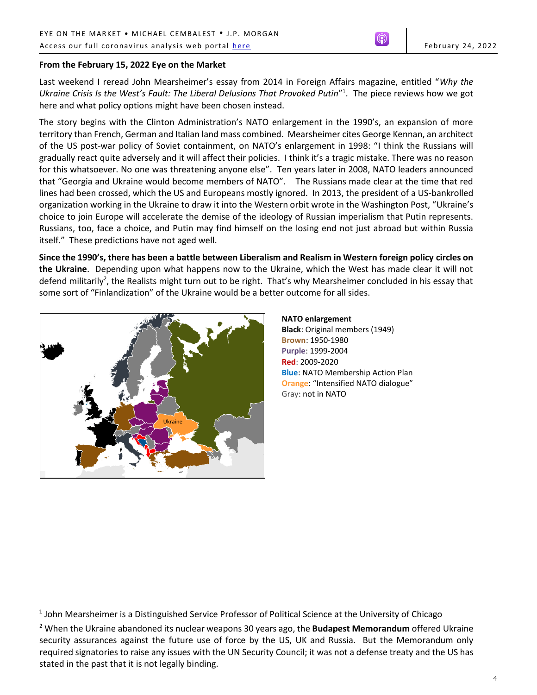# **From the February 15, 2022 Eye on the Market**

Last weekend I reread John Mearsheimer's essay from 2014 in Foreign Affairs magazine, entitled "*Why the*  Ukraine Crisis Is the West's Fault: The Liberal Delusions That Provoked Putin"<sup>1</sup>. The piece reviews how we got here and what policy options might have been chosen instead.

The story begins with the Clinton Administration's NATO enlargement in the 1990's, an expansion of more territory than French, German and Italian land mass combined. Mearsheimer cites George Kennan, an architect of the US post-war policy of Soviet containment, on NATO's enlargement in 1998: "I think the Russians will gradually react quite adversely and it will affect their policies. I think it's a tragic mistake. There was no reason for this whatsoever. No one was threatening anyone else". Ten years later in 2008, NATO leaders announced that "Georgia and Ukraine would become members of NATO". The Russians made clear at the time that red lines had been crossed, which the US and Europeans mostly ignored. In 2013, the president of a US-bankrolled organization working in the Ukraine to draw it into the Western orbit wrote in the Washington Post, "Ukraine's choice to join Europe will accelerate the demise of the ideology of Russian imperialism that Putin represents. Russians, too, face a choice, and Putin may find himself on the losing end not just abroad but within Russia itself." These predictions have not aged well.

**Since the 1990's, there has been a battle between Liberalism and Realism in Western foreign policy circles on the Ukraine**. Depending upon what happens now to the Ukraine, which the West has made clear it will not defend militarily<sup>2</sup>, the Realists might turn out to be right. That's why Mearsheimer concluded in his essay that some sort of "Finlandization" of the Ukraine would be a better outcome for all sides.



 $\overline{a}$ 

**NATO enlargement Black**: Original members (1949) **Brown**: 1950-1980 **Purple**: 1999-2004 **Red**: 2009-2020 **Blue**: NATO Membership Action Plan **Orange**: "Intensified NATO dialogue" Gray: not in NATO

<sup>&</sup>lt;sup>1</sup> John Mearsheimer is a Distinguished Service Professor of Political Science at the University of Chicago

<sup>2</sup> When the Ukraine abandoned its nuclear weapons 30 years ago, the **Budapest Memorandum** offered Ukraine security assurances against the future use of force by the US, UK and Russia. But the Memorandum only required signatories to raise any issues with the UN Security Council; it was not a defense treaty and the US has stated in the past that it is not legally binding.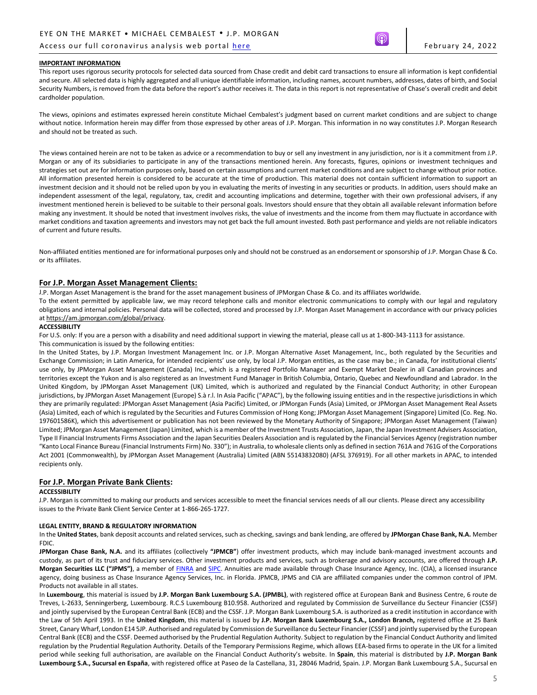## Access our full coronavirus analysis web portal here **the contract of the Fermion Contract of the February 24, 2022**

#### **IMPORTANT INFORMATION**

This report uses rigorous security protocols for selected data sourced from Chase credit and debit card transactions to ensure all information is kept confidential and secure. All selected data is highly aggregated and all unique identifiable information, including names, account numbers, addresses, dates of birth, and Social Security Numbers, is removed from the data before the report's author receives it. The data in this report is not representative of Chase's overall credit and debit cardholder population.

The views, opinions and estimates expressed herein constitute Michael Cembalest's judgment based on current market conditions and are subject to change without notice. Information herein may differ from those expressed by other areas of J.P. Morgan. This information in no way constitutes J.P. Morgan Research and should not be treated as such.

The views contained herein are not to be taken as advice or a recommendation to buy or sell any investment in any jurisdiction, nor is it a commitment from J.P. Morgan or any of its subsidiaries to participate in any of the transactions mentioned herein. Any forecasts, figures, opinions or investment techniques and strategies set out are for information purposes only, based on certain assumptions and current market conditions and are subject to change without prior notice. All information presented herein is considered to be accurate at the time of production. This material does not contain sufficient information to support an investment decision and it should not be relied upon by you in evaluating the merits of investing in any securities or products. In addition, users should make an independent assessment of the legal, regulatory, tax, credit and accounting implications and determine, together with their own professional advisers, if any investment mentioned herein is believed to be suitable to their personal goals. Investors should ensure that they obtain all available relevant information before making any investment. It should be noted that investment involves risks, the value of investments and the income from them may fluctuate in accordance with market conditions and taxation agreements and investors may not get back the full amount invested. Both past performance and yields are not reliable indicators of current and future results.

Non-affiliated entities mentioned are for informational purposes only and should not be construed as an endorsement or sponsorship of J.P. Morgan Chase & Co. or its affiliates.

## **For J.P. Morgan Asset Management Clients:**

J.P. Morgan Asset Management is the brand for the asset management business of JPMorgan Chase & Co. and its affiliates worldwide.

To the extent permitted by applicable law, we may record telephone calls and monitor electronic communications to comply with our legal and regulatory obligations and internal policies. Personal data will be collected, stored and processed by J.P. Morgan Asset Management in accordance with our privacy policies a[t https://am.jpmorgan.com/global/privacy.](https://am.jpmorgan.com/global/privacy)

#### **ACCESSIBILITY**

For U.S. only: If you are a person with a disability and need additional support in viewing the material, please call us at 1-800-343-1113 for assistance.

#### This communication is issued by the following entities:

In the United States, by J.P. Morgan Investment Management Inc. or J.P. Morgan Alternative Asset Management, Inc., both regulated by the Securities and Exchange Commission; in Latin America, for intended recipients' use only, by local J.P. Morgan entities, as the case may be.; in Canada, for institutional clients' use only, by JPMorgan Asset Management (Canada) Inc., which is a registered Portfolio Manager and Exempt Market Dealer in all Canadian provinces and territories except the Yukon and is also registered as an Investment Fund Manager in British Columbia, Ontario, Quebec and Newfoundland and Labrador. In the United Kingdom, by JPMorgan Asset Management (UK) Limited, which is authorized and regulated by the Financial Conduct Authority; in other European jurisdictions, by JPMorgan Asset Management (Europe) S.à r.l. In Asia Pacific ("APAC"), by the following issuing entities and in the respective jurisdictions in which they are primarily regulated: JPMorgan Asset Management (Asia Pacific) Limited, or JPMorgan Funds (Asia) Limited, or JPMorgan Asset Management Real Assets (Asia) Limited, each of which is regulated by the Securities and Futures Commission of Hong Kong; JPMorgan Asset Management (Singapore) Limited (Co. Reg. No. 197601586K), which this advertisement or publication has not been reviewed by the Monetary Authority of Singapore; JPMorgan Asset Management (Taiwan) Limited; JPMorgan Asset Management (Japan) Limited, which is a member of the Investment Trusts Association, Japan, the Japan Investment Advisers Association, Type II Financial Instruments Firms Association and the Japan Securities Dealers Association and is regulated by the Financial Services Agency (registration number "Kanto Local Finance Bureau (Financial Instruments Firm) No. 330"); in Australia, to wholesale clients only as defined in section 761A and 761G of the Corporations Act 2001 (Commonwealth), by JPMorgan Asset Management (Australia) Limited (ABN 55143832080) (AFSL 376919). For all other markets in APAC, to intended recipients only.

### **For J.P. Morgan Private Bank Clients:**

#### **ACCESSIBILITY**

J.P. Morgan is committed to making our products and services accessible to meet the financial services needs of all our clients. Please direct any accessibility issues to the Private Bank Client Service Center at 1-866-265-1727.

#### **LEGAL ENTITY, BRAND & REGULATORY INFORMATION**

In the **United States**, bank deposit accounts and related services, such as checking, savings and bank lending, are offered by **JPMorgan Chase Bank, N.A.** Member FDIC.

**JPMorgan Chase Bank, N.A.** and its affiliates (collectively **"JPMCB"**) offer investment products, which may include bank-managed investment accounts and custody, as part of its trust and fiduciary services. Other investment products and services, such as brokerage and advisory accounts, are offered through **J.P. Morgan Securities LLC ("JPMS")**, a member of [FINRA](http://www.finra.org/) an[d SIPC.](http://www.sipc.org/) Annuities are made available through Chase Insurance Agency, Inc. (CIA), a licensed insurance agency, doing business as Chase Insurance Agency Services, Inc. in Florida. JPMCB, JPMS and CIA are affiliated companies under the common control of JPM. Products not available in all states.

In **Luxembourg**, this material is issued by **J.P. Morgan Bank Luxembourg S.A. (JPMBL)**, with registered office at European Bank and Business Centre, 6 route de Treves, L-2633, Senningerberg, Luxembourg. R.C.S Luxembourg B10.958. Authorized and regulated by Commission de Surveillance du Secteur Financier (CSSF) and jointly supervised by the European Central Bank (ECB) and the CSSF. J.P. Morgan Bank Luxembourg S.A. is authorized as a credit institution in accordance with the Law of 5th April 1993. In the **United Kingdom**, this material is issued by **J.P. Morgan Bank Luxembourg S.A., London Branch,** registered office at 25 Bank Street, Canary Wharf, London E14 5JP. Authorised and regulated by Commission de Surveillance du Secteur Financier (CSSF) and jointly supervised by the European Central Bank (ECB) and the CSSF. Deemed authorised by the Prudential Regulation Authority. Subject to regulation by the Financial Conduct Authority and limited regulation by the Prudential Regulation Authority. Details of the Temporary Permissions Regime, which allows EEA-based firms to operate in the UK for a limited period while seeking full authorisation, are available on the Financial Conduct Authority's website. In **Spain**, this material is distributed by **J.P. Morgan Bank Luxembourg S.A., Sucursal en España**, with registered office at Paseo de la Castellana, 31, 28046 Madrid, Spain. J.P. Morgan Bank Luxembourg S.A., Sucursal en